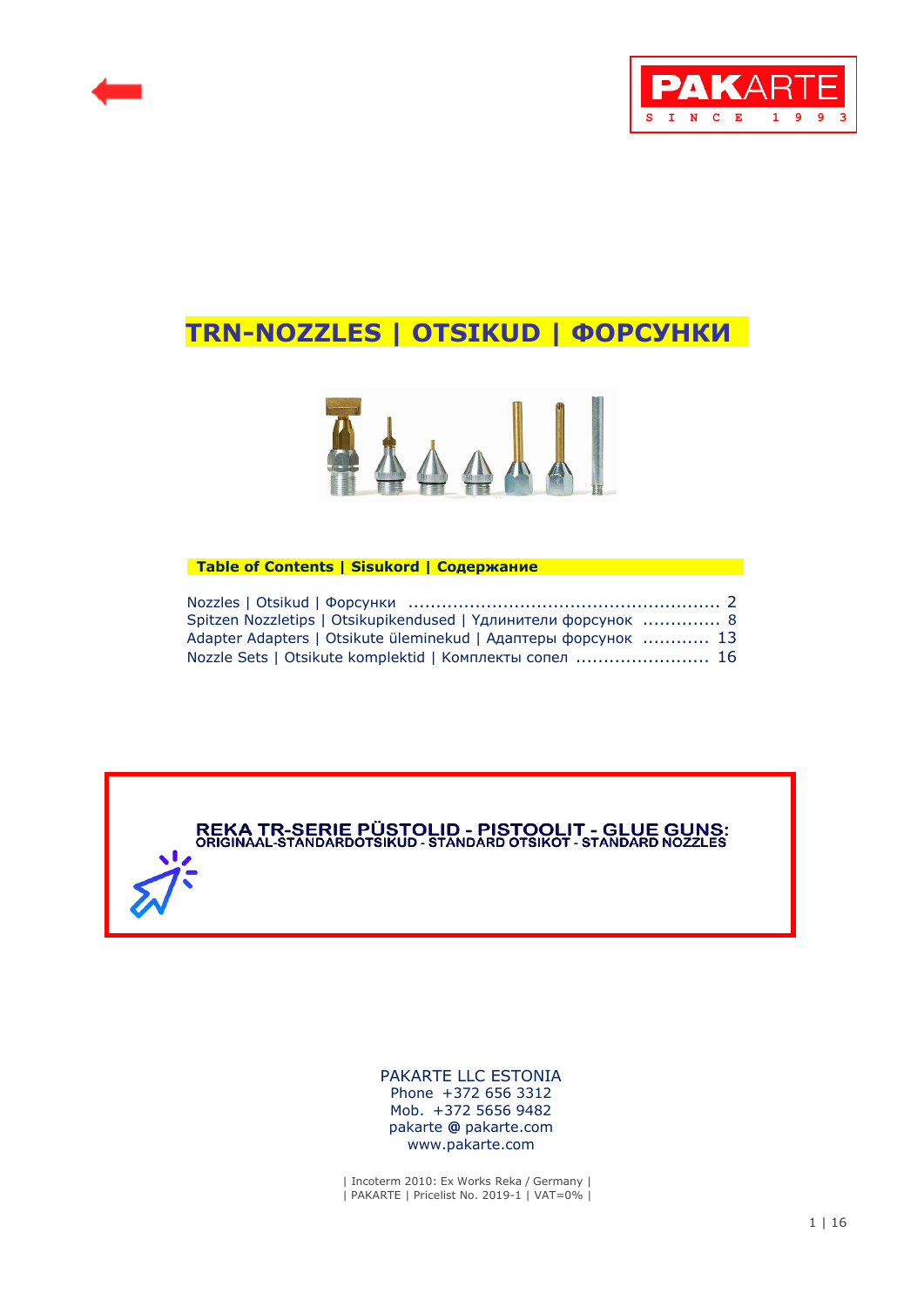



# **TRN-NOZZLES | OTSIKUD | ФОРСУНКИ .**



### **Table of Contents | Sisukord | Содержание**

| Spitzen Nozzletips   Otsikupikendused   Үдлинители форсунок  8 |  |
|----------------------------------------------------------------|--|
| Adapter Adapters   Otsikute üleminekud   Адаптеры форсунок  13 |  |
| Nozzle Sets   Otsikute komplektid   Комплекты сопел  16        |  |



 [PAKARTE LLC ESTONIA](https://pakarte.com/est/kontakt_est.html) Phone +372 656 3312 Mob. +372 5656 9482 pakarte **@** pakarte.com www.pakarte.com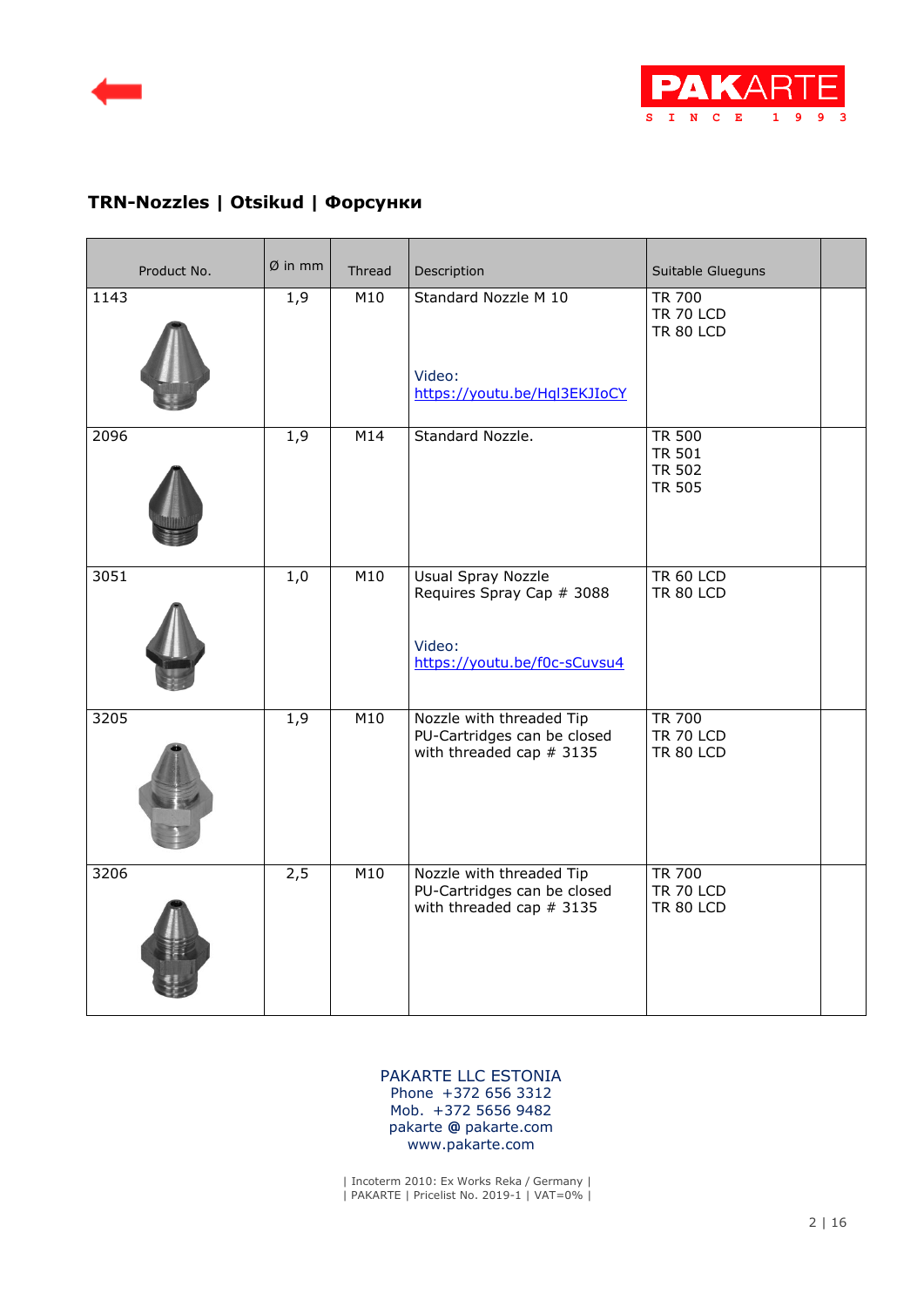



# **TRN-Nozzles | Otsikud | Форсунки**

| Product No. | $Ø$ in mm | Thread | Description                                                                                      | Suitable Glueguns                                                |  |
|-------------|-----------|--------|--------------------------------------------------------------------------------------------------|------------------------------------------------------------------|--|
| 1143        | 1,9       | M10    | Standard Nozzle M 10<br>Video:<br>https://youtu.be/Hql3EKJIoCY                                   | <b>TR 700</b><br><b>TR 70 LCD</b><br><b>TR 80 LCD</b>            |  |
| 2096        | 1,9       | M14    | Standard Nozzle.                                                                                 | <b>TR 500</b><br><b>TR 501</b><br><b>TR 502</b><br><b>TR 505</b> |  |
| 3051        | 1,0       | M10    | <b>Usual Spray Nozzle</b><br>Requires Spray Cap # 3088<br>Video:<br>https://youtu.be/f0c-sCuvsu4 | <b>TR 60 LCD</b><br><b>TR 80 LCD</b>                             |  |
| 3205        | 1,9       | M10    | Nozzle with threaded Tip<br>PU-Cartridges can be closed<br>with threaded cap $# 3135$            | <b>TR 700</b><br><b>TR 70 LCD</b><br><b>TR 80 LCD</b>            |  |
| 3206        | 2,5       | M10    | Nozzle with threaded Tip<br>PU-Cartridges can be closed<br>with threaded cap # 3135              | <b>TR 700</b><br><b>TR 70 LCD</b><br><b>TR 80 LCD</b>            |  |

### [PAKARTE LLC ESTONIA](https://pakarte.com/est/kontakt_est.html) Phone +372 656 3312 Mob. +372 5656 9482 pakarte **@** pakarte.com www.pakarte.com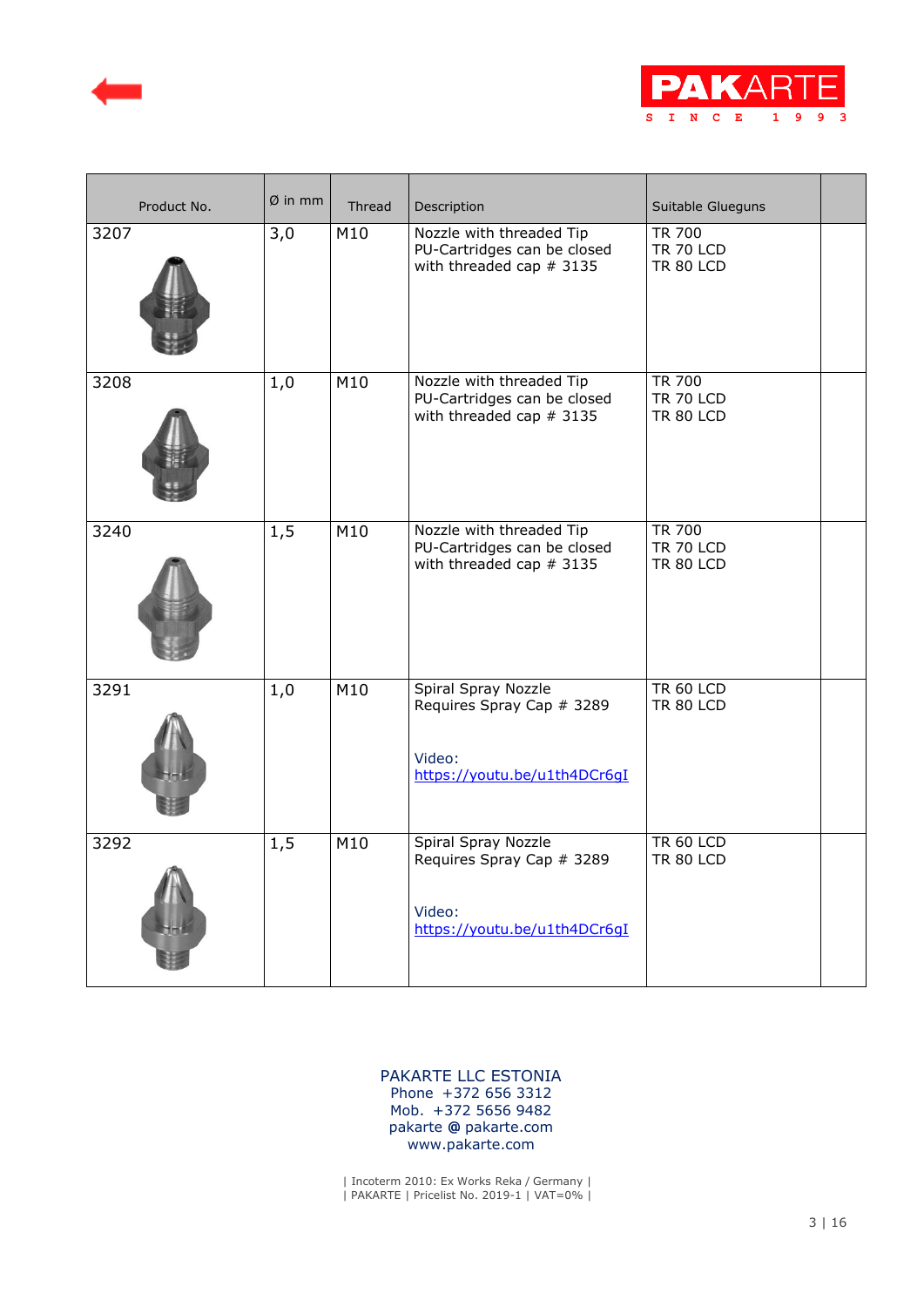



| Product No. | $Ø$ in mm | Thread | Description                                                                                | Suitable Glueguns                                     |  |
|-------------|-----------|--------|--------------------------------------------------------------------------------------------|-------------------------------------------------------|--|
| 3207        | 3,0       | M10    | Nozzle with threaded Tip<br>PU-Cartridges can be closed<br>with threaded cap $# 3135$      | <b>TR 700</b><br><b>TR 70 LCD</b><br><b>TR 80 LCD</b> |  |
| 3208        | 1,0       | M10    | Nozzle with threaded Tip<br>PU-Cartridges can be closed<br>with threaded cap $# 3135$      | <b>TR 700</b><br><b>TR 70 LCD</b><br><b>TR 80 LCD</b> |  |
| 3240        | 1,5       | M10    | Nozzle with threaded Tip<br>PU-Cartridges can be closed<br>with threaded cap $# 3135$      | <b>TR 700</b><br><b>TR 70 LCD</b><br><b>TR 80 LCD</b> |  |
| 3291        | 1,0       | M10    | Spiral Spray Nozzle<br>Requires Spray Cap # 3289<br>Video:<br>https://youtu.be/u1th4DCr6qI | <b>TR 60 LCD</b><br><b>TR 80 LCD</b>                  |  |
| 3292        | 1, 5      | M10    | Spiral Spray Nozzle<br>Requires Spray Cap # 3289<br>Video:<br>https://youtu.be/u1th4DCr6qI | <b>TR 60 LCD</b><br><b>TR 80 LCD</b>                  |  |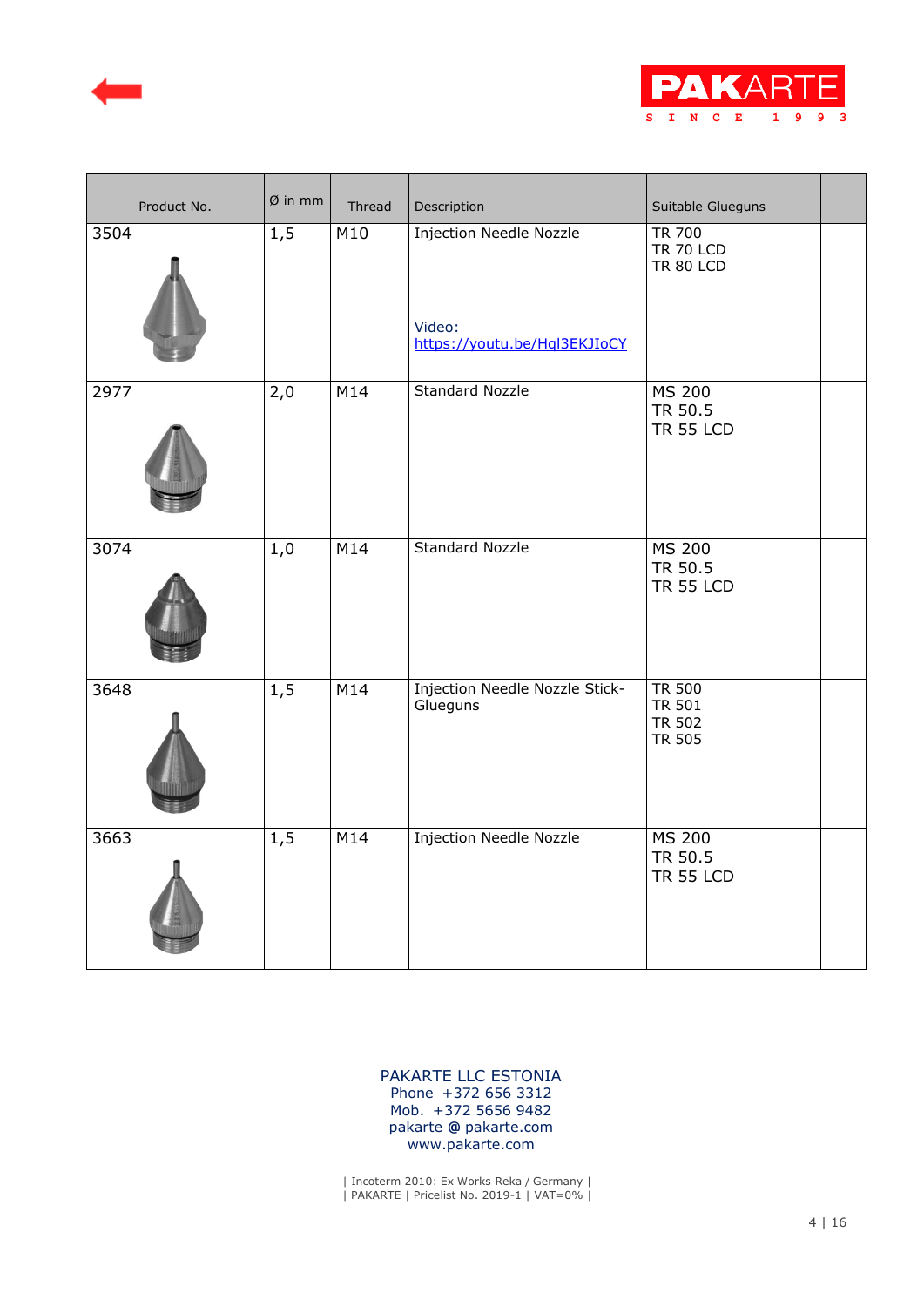



| Product No. | $Ø$ in mm | Thread | Description                                                              | Suitable Glueguns                                         |  |
|-------------|-----------|--------|--------------------------------------------------------------------------|-----------------------------------------------------------|--|
| 3504        | 1, 5      | M10    | <b>Injection Needle Nozzle</b><br>Video:<br>https://youtu.be/Hql3EKJIoCY | <b>TR 700</b><br><b>TR 70 LCD</b><br><b>TR 80 LCD</b>     |  |
| 2977        | 2,0       | M14    | <b>Standard Nozzle</b>                                                   | <b>MS 200</b><br>TR 50.5<br><b>TR 55 LCD</b>              |  |
| 3074        | 1,0       | M14    | <b>Standard Nozzle</b>                                                   | <b>MS 200</b><br>TR 50.5<br><b>TR 55 LCD</b>              |  |
| 3648        | 1,5       | M14    | Injection Needle Nozzle Stick-<br>Glueguns                               | <b>TR 500</b><br><b>TR 501</b><br><b>TR 502</b><br>TR 505 |  |
| 3663        | 1, 5      | M14    | <b>Injection Needle Nozzle</b>                                           | <b>MS 200</b><br>TR 50.5<br><b>TR 55 LCD</b>              |  |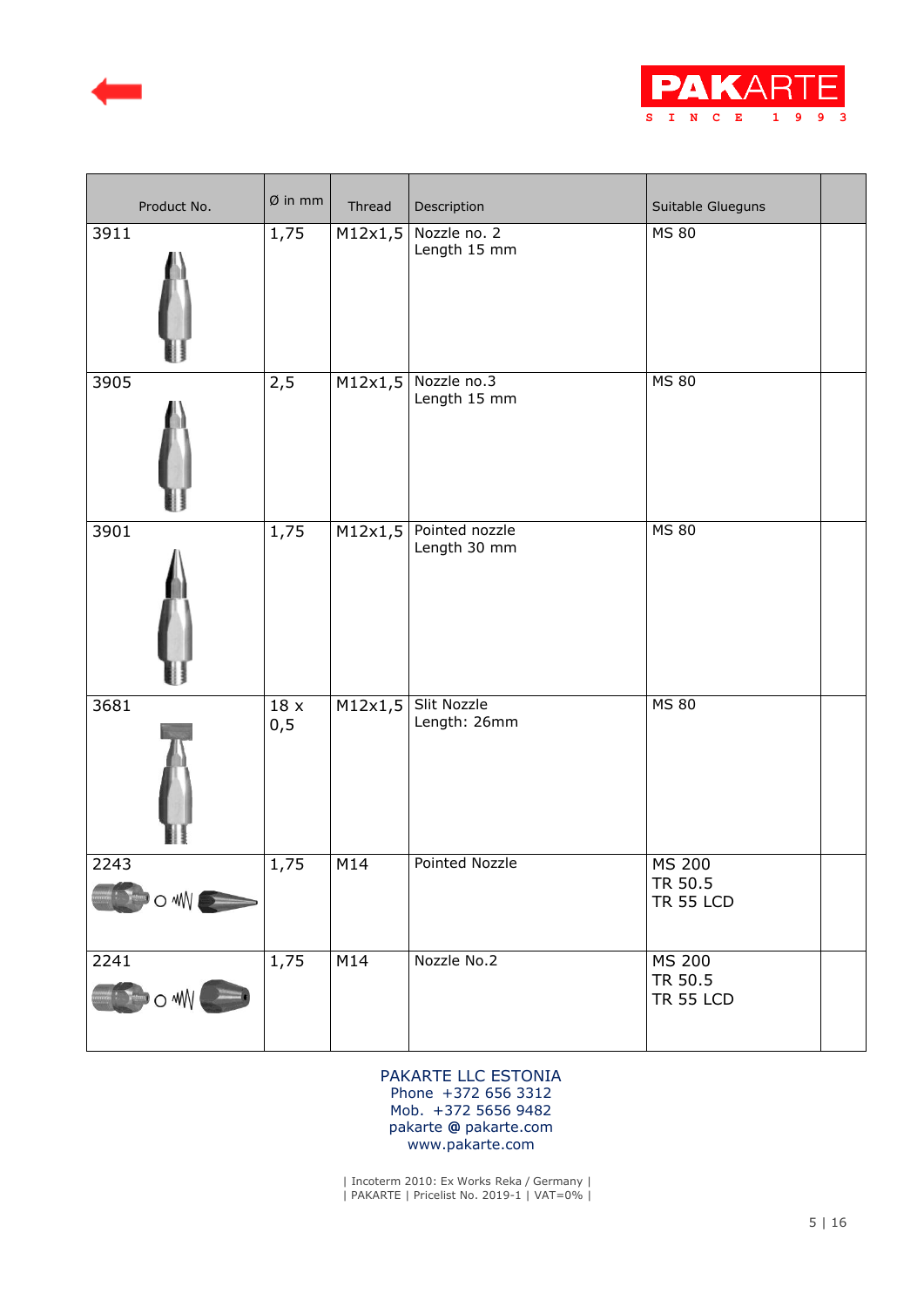



| Product No.    | $Ø$ in mm        | Thread  | Description                    | Suitable Glueguns                            |
|----------------|------------------|---------|--------------------------------|----------------------------------------------|
| 3911           | 1,75             | M12x1,5 | Nozzle no. 2<br>Length 15 mm   | <b>MS 80</b>                                 |
| 3905           | 2,5              | M12x1,5 | Nozzle no.3<br>Length 15 mm    | <b>MS 80</b>                                 |
| 3901           | 1,75             | M12x1,5 | Pointed nozzle<br>Length 30 mm | <b>MS 80</b>                                 |
| 3681           | $18\,$ x<br>0, 5 | M12x1,5 | Slit Nozzle<br>Length: 26mm    | <b>MS 80</b>                                 |
| 2243<br>POWNE  | 1,75             | M14     | Pointed Nozzle                 | <b>MS 200</b><br>TR 50.5<br><b>TR 55 LCD</b> |
| 2241<br>BOWN . | 1,75             | M14     | Nozzle No.2                    | <b>MS 200</b><br>TR 50.5<br><b>TR 55 LCD</b> |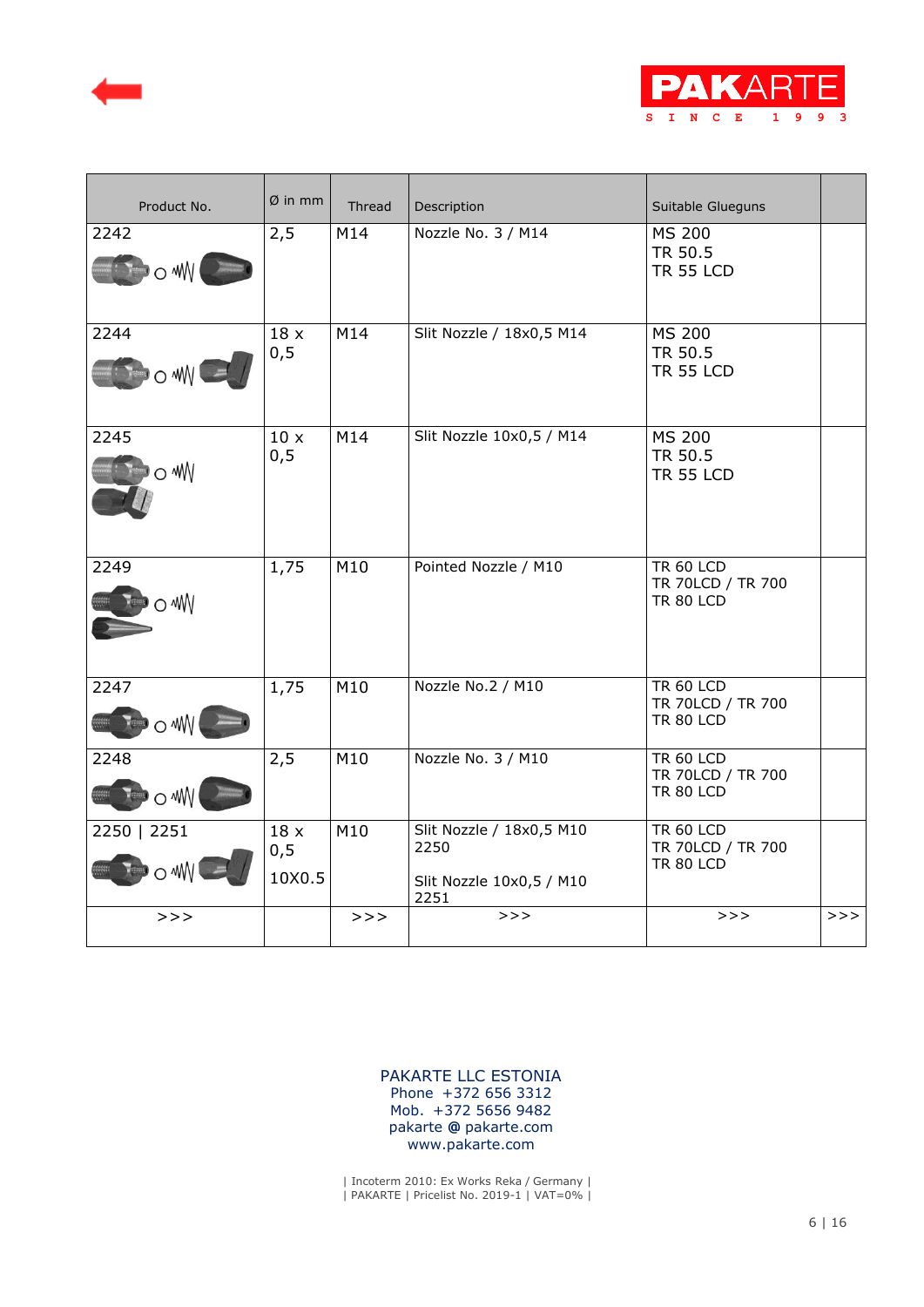



| Product No.                                | $Ø$ in mm             | Thread | Description                                                          | Suitable Glueguns                                         |     |
|--------------------------------------------|-----------------------|--------|----------------------------------------------------------------------|-----------------------------------------------------------|-----|
| 2242<br>$\circ$ MW (                       | 2,5                   | M14    | Nozzle No. 3 / M14                                                   | <b>MS 200</b><br>TR 50.5<br><b>TR 55 LCD</b>              |     |
| 2244<br>$\sim 10$                          | 18x<br>0, 5           | M14    | Slit Nozzle / 18x0,5 M14                                             | <b>MS 200</b><br>TR 50.5<br><b>TR 55 LCD</b>              |     |
| 2245<br>o ww                               | 10x<br>0, 5           | M14    | Slit Nozzle 10x0,5 / M14                                             | <b>MS 200</b><br>TR 50.5<br><b>TR 55 LCD</b>              |     |
| 2249<br>о₩                                 | 1,75                  | M10    | Pointed Nozzle / M10                                                 | <b>TR 60 LCD</b><br>TR 70LCD / TR 700<br><b>TR 80 LCD</b> |     |
| 2247<br>o ww                               | 1,75                  | M10    | Nozzle No.2 / M10                                                    | <b>TR 60 LCD</b><br>TR 70LCD / TR 700<br><b>TR 80 LCD</b> |     |
| 2248<br>$\rightarrow$ $\circ$ $\mathsf{W}$ | 2,5                   | M10    | Nozzle No. 3 / M10                                                   | <b>TR 60 LCD</b><br>TR 70LCD / TR 700<br><b>TR 80 LCD</b> |     |
| 2250   2251<br>$\bullet$ o will            | 18x<br>0, 5<br>10X0.5 | M10    | Slit Nozzle / 18x0,5 M10<br>2250<br>Slit Nozzle 10x0,5 / M10<br>2251 | <b>TR 60 LCD</b><br>TR 70LCD / TR 700<br><b>TR 80 LCD</b> |     |
| >>                                         |                       | >>     | >>>                                                                  | >>                                                        | >>> |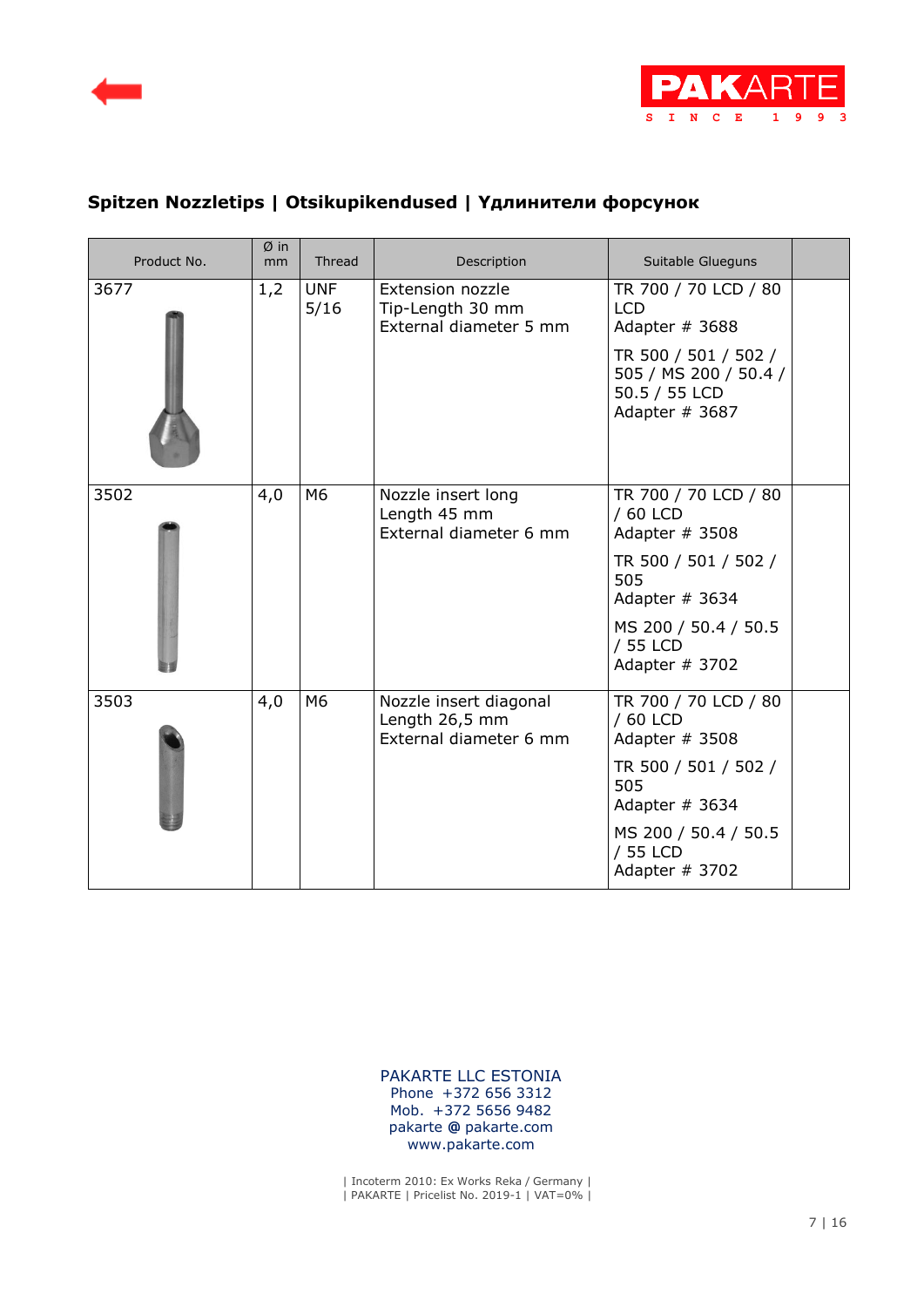



# **Spitzen Nozzletips | Otsikupikendused | Yдлинители форсунок**

| Product No. | Øin<br>mm | Thread             | Description                                                        | Suitable Glueguns                                                                                                                                         |  |
|-------------|-----------|--------------------|--------------------------------------------------------------------|-----------------------------------------------------------------------------------------------------------------------------------------------------------|--|
| 3677        | 1,2       | <b>UNF</b><br>5/16 | Extension nozzle<br>Tip-Length 30 mm<br>External diameter 5 mm     | TR 700 / 70 LCD / 80<br><b>LCD</b><br>Adapter # 3688<br>TR 500 / 501 / 502 /<br>505 / MS 200 / 50.4 /<br>50.5 / 55 LCD<br>Adapter # 3687                  |  |
| 3502        | 4,0       | M6                 | Nozzle insert long<br>Length 45 mm<br>External diameter 6 mm       | TR 700 / 70 LCD / 80<br>/ 60 LCD<br>Adapter # 3508<br>TR 500 / 501 / 502 /<br>505<br>Adapter # 3634<br>MS 200 / 50.4 / 50.5<br>/ 55 LCD<br>Adapter # 3702 |  |
| 3503        | 4,0       | M6                 | Nozzle insert diagonal<br>Length 26,5 mm<br>External diameter 6 mm | TR 700 / 70 LCD / 80<br>/ 60 LCD<br>Adapter # 3508<br>TR 500 / 501 / 502 /<br>505<br>Adapter # 3634<br>MS 200 / 50.4 / 50.5<br>/ 55 LCD<br>Adapter # 3702 |  |

 [PAKARTE LLC ESTONIA](https://pakarte.com/est/kontakt_est.html) Phone +372 656 3312 Mob. +372 5656 9482 pakarte **@** pakarte.com www.pakarte.com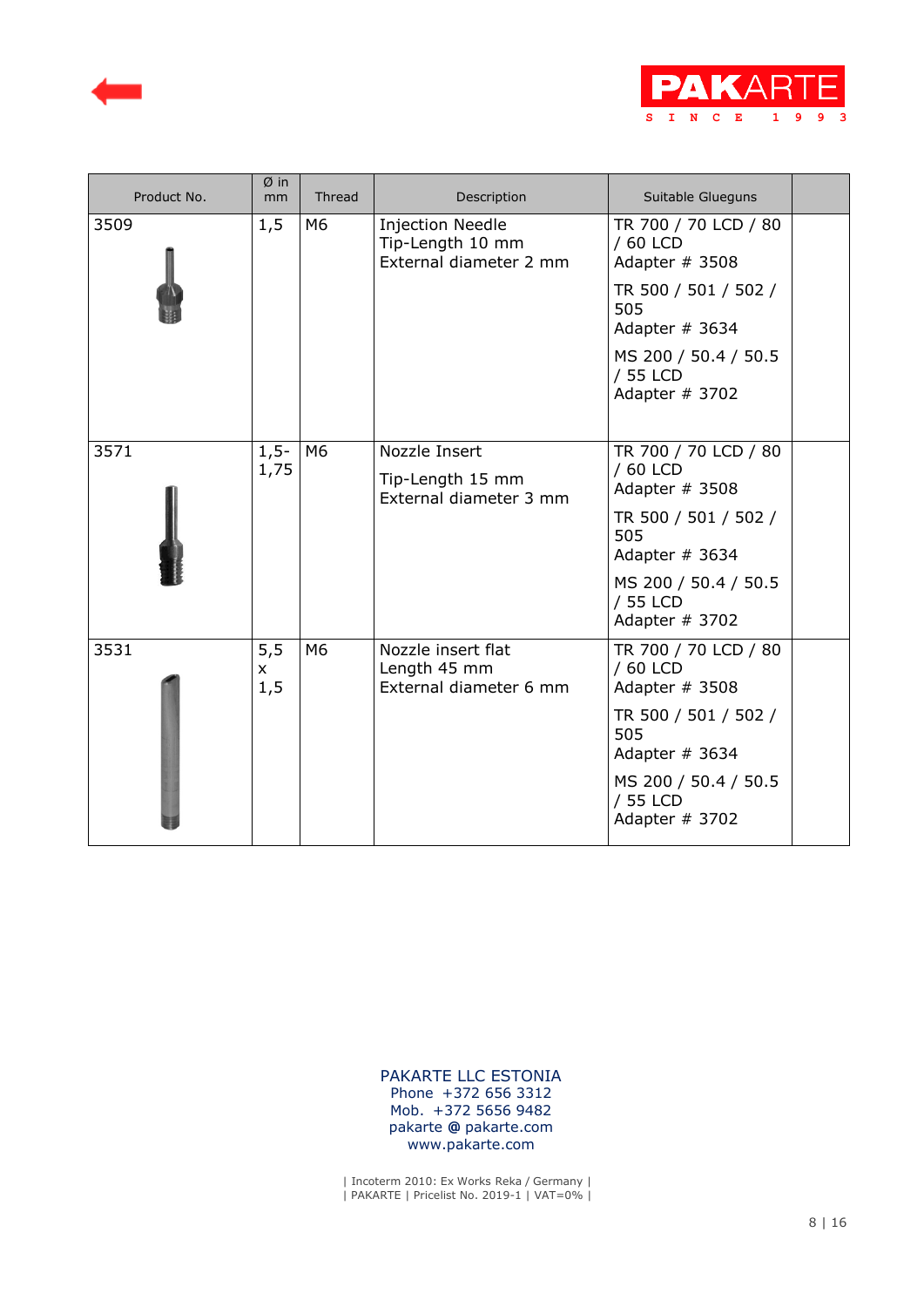



| Product No. | $Ø$ in<br>mm                | Thread | Description                                                           | Suitable Glueguns                                  |  |
|-------------|-----------------------------|--------|-----------------------------------------------------------------------|----------------------------------------------------|--|
| 3509        | 1,5                         | M6     | <b>Injection Needle</b><br>Tip-Length 10 mm<br>External diameter 2 mm | TR 700 / 70 LCD / 80<br>/ 60 LCD<br>Adapter # 3508 |  |
|             |                             |        |                                                                       | TR 500 / 501 / 502 /<br>505<br>Adapter $# 3634$    |  |
|             |                             |        |                                                                       | MS 200 / 50.4 / 50.5<br>/ 55 LCD<br>Adapter # 3702 |  |
| 3571        | $1, 5 -$<br>1,75            | M6     | Nozzle Insert<br>Tip-Length 15 mm<br>External diameter 3 mm           | TR 700 / 70 LCD / 80<br>/ 60 LCD<br>Adapter # 3508 |  |
|             |                             |        |                                                                       | TR 500 / 501 / 502 /<br>505<br>Adapter $# 3634$    |  |
|             |                             |        |                                                                       | MS 200 / 50.4 / 50.5<br>/ 55 LCD<br>Adapter # 3702 |  |
| 3531        | 5, 5<br>$\mathsf{x}$<br>1,5 | M6     | Nozzle insert flat<br>Length 45 mm<br>External diameter 6 mm          | TR 700 / 70 LCD / 80<br>/ 60 LCD<br>Adapter # 3508 |  |
|             |                             |        |                                                                       | TR 500 / 501 / 502 /<br>505<br>Adapter $# 3634$    |  |
|             |                             |        |                                                                       | MS 200 / 50.4 / 50.5<br>/ 55 LCD<br>Adapter # 3702 |  |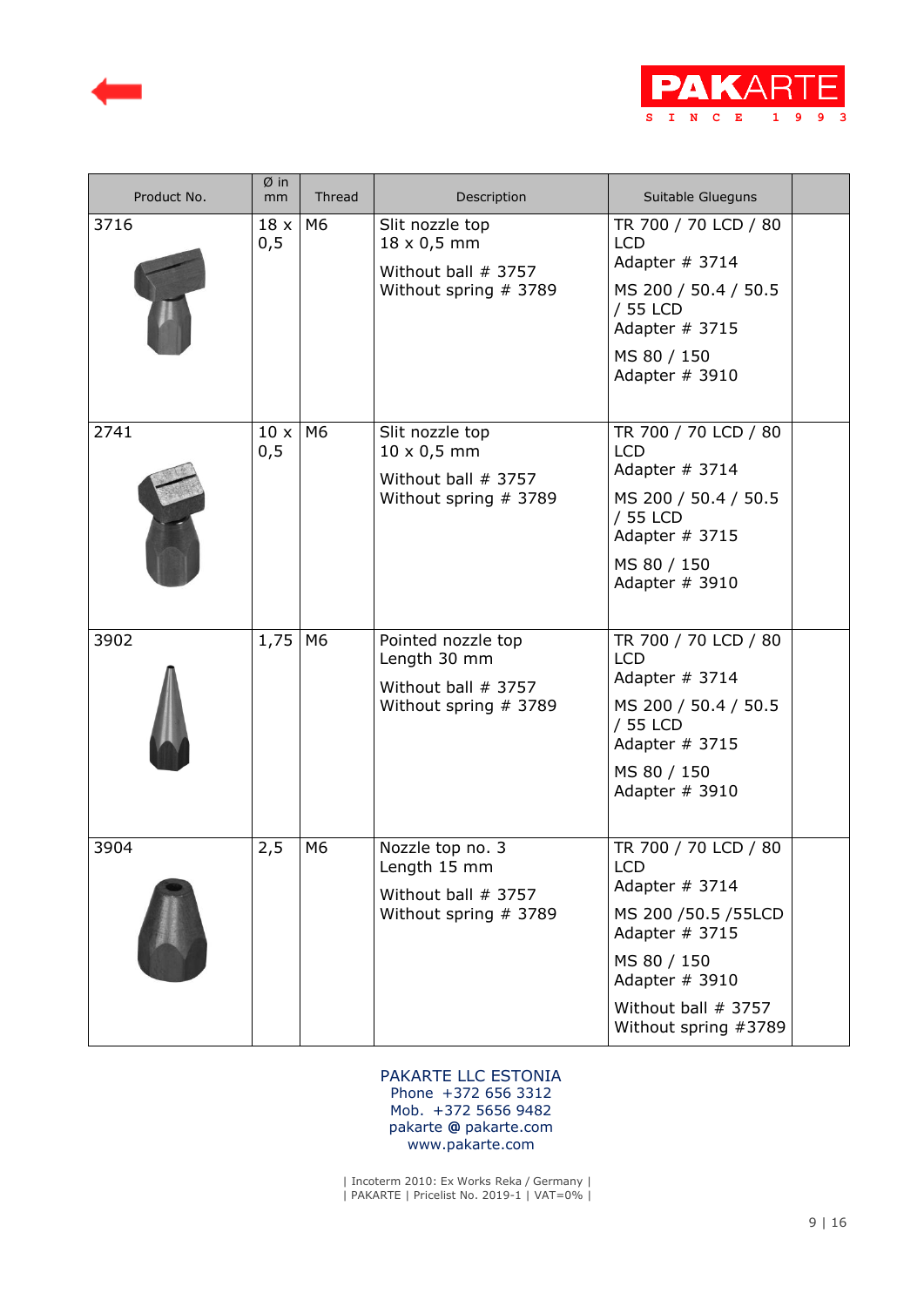



| Product No. | Øin<br>mm           | Thread         | Description                                                                           | Suitable Glueguns                                                                                                                                                             |  |
|-------------|---------------------|----------------|---------------------------------------------------------------------------------------|-------------------------------------------------------------------------------------------------------------------------------------------------------------------------------|--|
| 3716        | $18 \times$<br>0, 5 | M6             | Slit nozzle top<br>$18 \times 0,5$ mm<br>Without ball # 3757<br>Without spring # 3789 | TR 700 / 70 LCD / 80<br><b>LCD</b><br>Adapter # 3714<br>MS 200 / 50.4 / 50.5<br>/ 55 LCD<br>Adapter # 3715<br>MS 80 / 150<br>Adapter # 3910                                   |  |
| 2741        | 10x<br>0, 5         | M6             | Slit nozzle top<br>$10 \times 0.5$ mm<br>Without ball # 3757<br>Without spring # 3789 | TR 700 / 70 LCD / 80<br><b>LCD</b><br>Adapter $# 3714$<br>MS 200 / 50.4 / 50.5<br>/ 55 LCD<br>Adapter # 3715<br>MS 80 / 150<br>Adapter # 3910                                 |  |
| 3902        | 1,75                | M <sub>6</sub> | Pointed nozzle top<br>Length 30 mm<br>Without ball # 3757<br>Without spring # 3789    | TR 700 / 70 LCD / 80<br><b>LCD</b><br>Adapter $# 3714$<br>MS 200 / 50.4 / 50.5<br>/ 55 LCD<br>Adapter # 3715<br>MS 80 / 150<br>Adapter # 3910                                 |  |
| 3904        | 2,5                 | M <sub>6</sub> | Nozzle top no. 3<br>Length 15 mm<br>Without ball # 3757<br>Without spring # 3789      | TR 700 / 70 LCD / 80<br><b>LCD</b><br>Adapter # 3714<br>MS 200 /50.5 /55LCD<br>Adapter # 3715<br>MS 80 / 150<br>Adapter # 3910<br>Without ball # 3757<br>Without spring #3789 |  |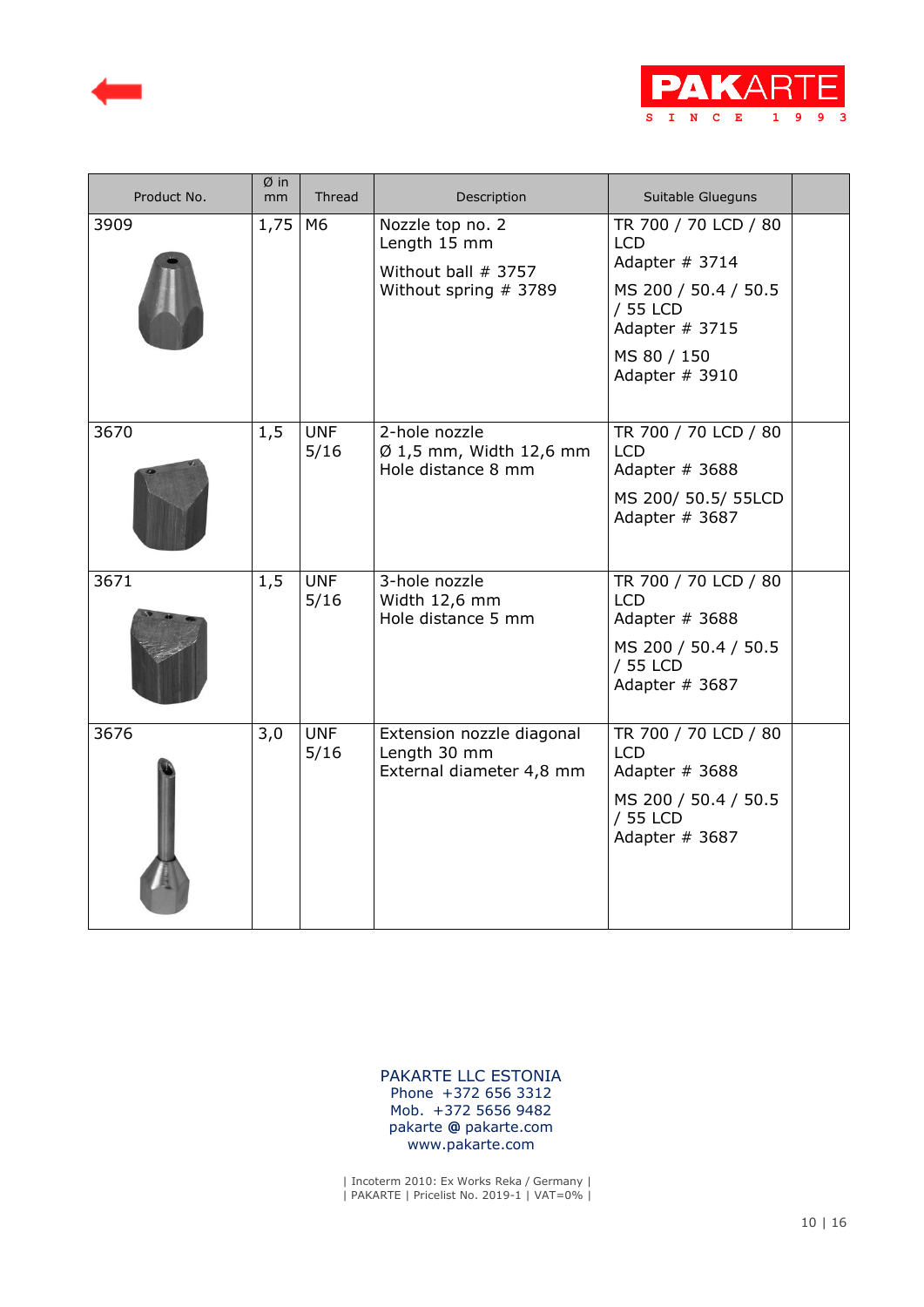



| Product No. | Øin<br>mm | Thread             | Description                                                                      | Suitable Glueguns                                                                                                                           |  |
|-------------|-----------|--------------------|----------------------------------------------------------------------------------|---------------------------------------------------------------------------------------------------------------------------------------------|--|
| 3909        | 1,75      | M6                 | Nozzle top no. 2<br>Length 15 mm<br>Without ball # 3757<br>Without spring # 3789 | TR 700 / 70 LCD / 80<br><b>LCD</b><br>Adapter # 3714<br>MS 200 / 50.4 / 50.5<br>/ 55 LCD<br>Adapter # 3715<br>MS 80 / 150<br>Adapter # 3910 |  |
| 3670        | 1,5       | <b>UNF</b><br>5/16 | 2-hole nozzle<br>$\varnothing$ 1,5 mm, Width 12,6 mm<br>Hole distance 8 mm       | TR 700 / 70 LCD / 80<br><b>LCD</b><br>Adapter # 3688<br>MS 200/ 50.5/ 55LCD<br>Adapter # 3687                                               |  |
| 3671        | 1,5       | <b>UNF</b><br>5/16 | 3-hole nozzle<br>Width 12,6 mm<br>Hole distance 5 mm                             | TR 700 / 70 LCD / 80<br><b>LCD</b><br>Adapter # 3688<br>MS 200 / 50.4 / 50.5<br>/ 55 LCD<br>Adapter # 3687                                  |  |
| 3676        | 3,0       | <b>UNF</b><br>5/16 | Extension nozzle diagonal<br>Length 30 mm<br>External diameter 4,8 mm            | TR 700 / 70 LCD / 80<br><b>LCD</b><br>Adapter # 3688<br>MS 200 / 50.4 / 50.5<br>/ 55 LCD<br>Adapter # 3687                                  |  |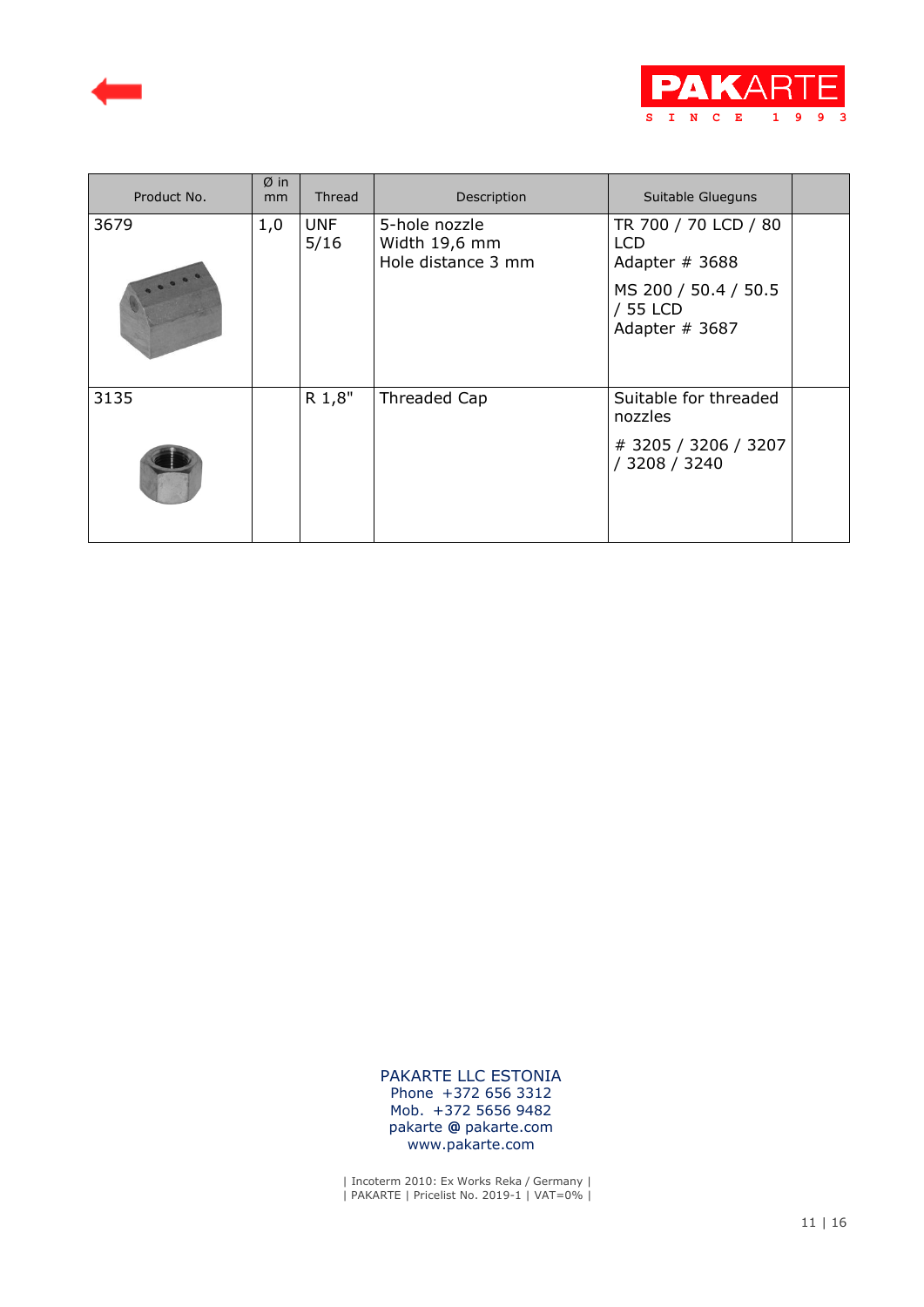



| Product No. | $Ø$ in<br>mm | Thread             | Description                                          | Suitable Glueguns                                                                                   |  |
|-------------|--------------|--------------------|------------------------------------------------------|-----------------------------------------------------------------------------------------------------|--|
| 3679        | 1,0          | <b>UNF</b><br>5/16 | 5-hole nozzle<br>Width 19,6 mm<br>Hole distance 3 mm | TR 700 / 70 LCD / 80<br>LCD<br>Adapter # 3688<br>MS 200 / 50.4 / 50.5<br>/ 55 LCD<br>Adapter # 3687 |  |
| 3135        |              | R 1,8"             | Threaded Cap                                         | Suitable for threaded<br>nozzles<br># 3205 / 3206 / 3207<br>/ 3208 / 3240                           |  |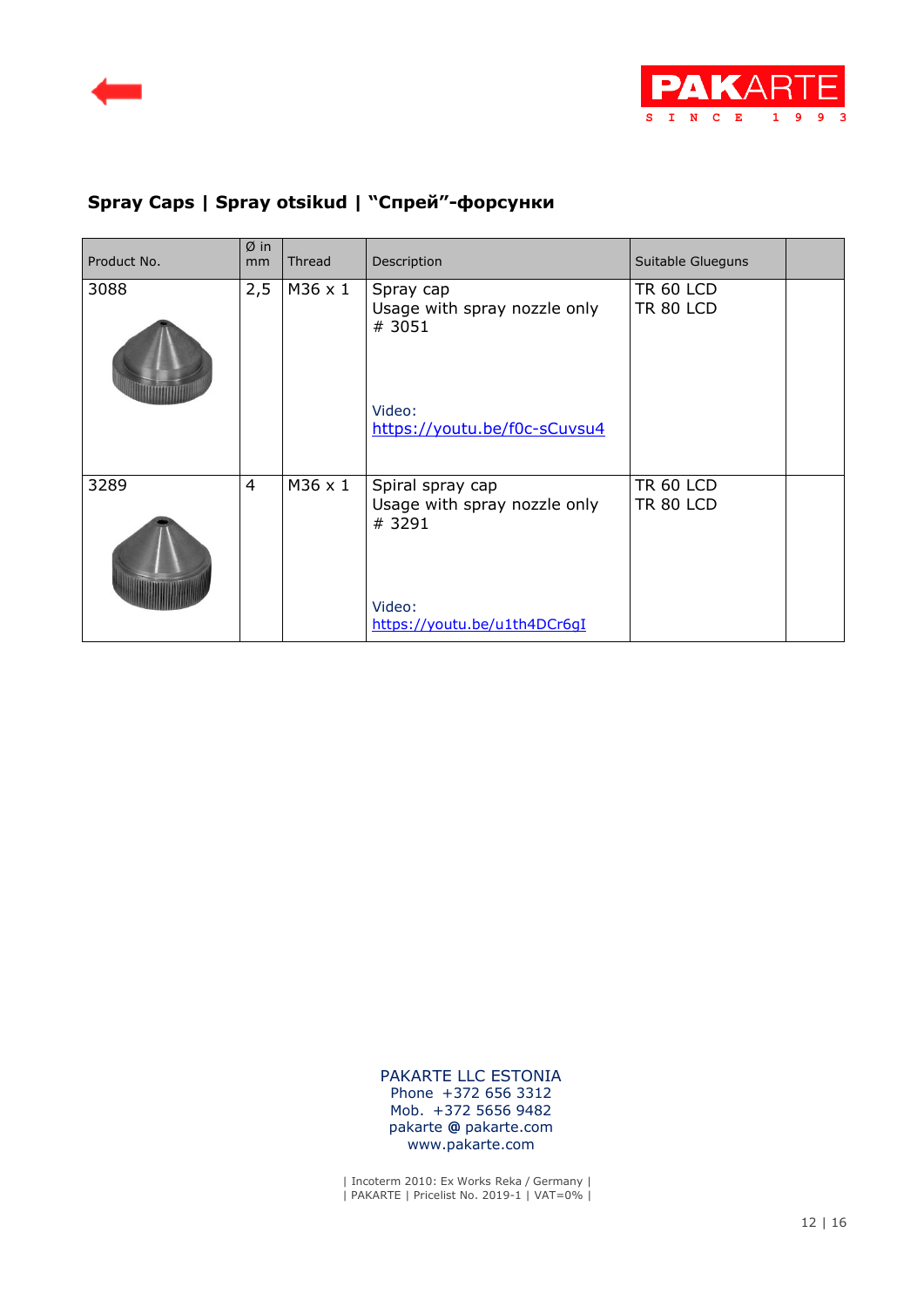



# **Spray Caps | Spray otsikud | "Cпрей"-форсунки**

| Product No. | $\emptyset$ in<br>mm | <b>Thread</b> | Description                                                                                          | Suitable Glueguns                    |  |
|-------------|----------------------|---------------|------------------------------------------------------------------------------------------------------|--------------------------------------|--|
| 3088        | 2,5                  | M36 x 1       | Spray cap<br>Usage with spray nozzle only<br># 3051<br>Video:<br>https://youtu.be/f0c-sCuvsu4        | <b>TR 60 LCD</b><br><b>TR 80 LCD</b> |  |
| 3289        | $\overline{4}$       | M36 x 1       | Spiral spray cap<br>Usage with spray nozzle only<br># 3291<br>Video:<br>https://youtu.be/u1th4DCr6qI | <b>TR 60 LCD</b><br><b>TR 80 LCD</b> |  |

 PAKARTE LLC ESTONIA Phone +372 656 3312 Mob. +372 5656 9482 pakarte **@** pakarte.com www.pakarte.com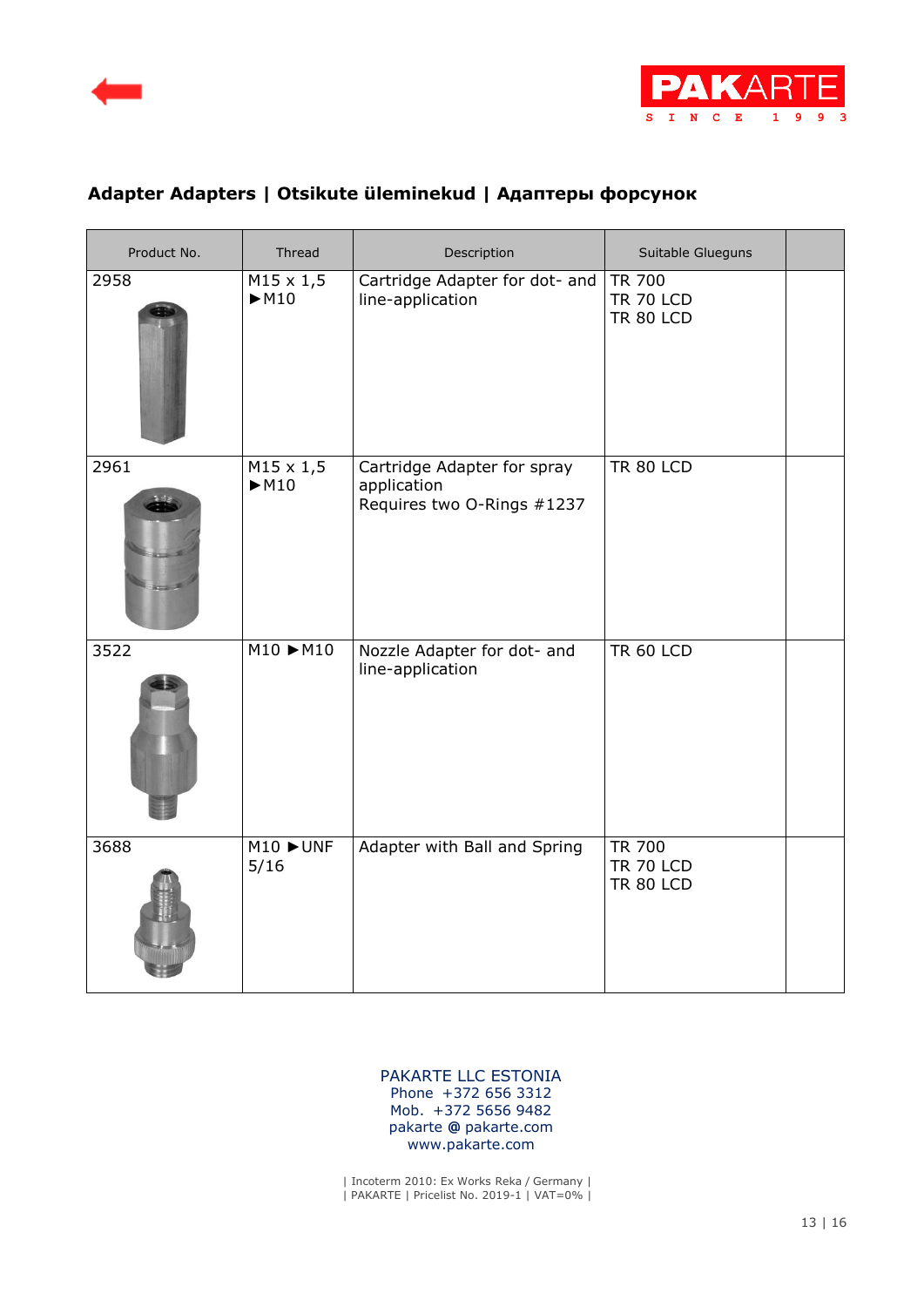



| Product No. | Thread                                  | Description                                                              | Suitable Glueguns                                     |  |
|-------------|-----------------------------------------|--------------------------------------------------------------------------|-------------------------------------------------------|--|
| 2958        | $M15 \times 1,5$<br>M10                 | Cartridge Adapter for dot- and<br>line-application                       | <b>TR 700</b><br><b>TR 70 LCD</b><br><b>TR 80 LCD</b> |  |
| 2961        | $M15 \times 1,5$<br>M10                 | Cartridge Adapter for spray<br>application<br>Requires two O-Rings #1237 | <b>TR 80 LCD</b>                                      |  |
| 3522        | $M10 \rightarrow M10$                   | Nozzle Adapter for dot- and<br>line-application                          | <b>TR 60 LCD</b>                                      |  |
| 3688        | $M10$ $\blacktriangleright$ UNF<br>5/16 | Adapter with Ball and Spring                                             | <b>TR 700</b><br><b>TR 70 LCD</b><br><b>TR 80 LCD</b> |  |

### **Adapter Adapters | Otsikute üleminekud | Адаптеры форсунок**

 PAKARTE LLC ESTONIA Phone +372 656 3312 Mob. +372 5656 9482 pakarte **@** pakarte.com www.pakarte.com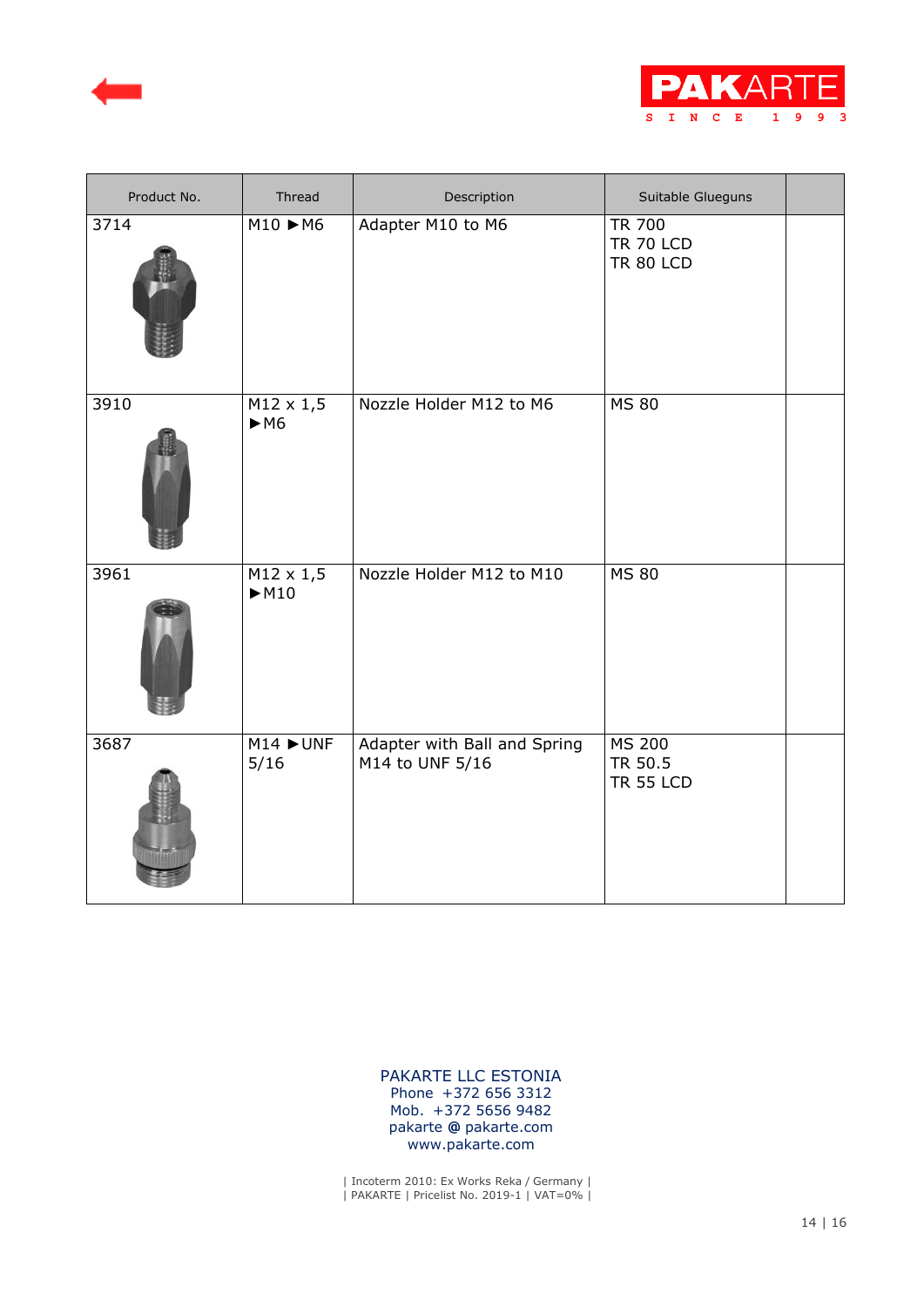



| Product No. | Thread                  | Description                                     | Suitable Glueguns                                     |  |
|-------------|-------------------------|-------------------------------------------------|-------------------------------------------------------|--|
| 3714        | $M10 \rightarrow M6$    | Adapter M10 to M6                               | <b>TR 700</b><br><b>TR 70 LCD</b><br><b>TR 80 LCD</b> |  |
| 3910        | $M12 \times 1,5$<br>M6  | Nozzle Holder M12 to M6                         | <b>MS 80</b>                                          |  |
| 3961        | $M12 \times 1,5$<br>M10 | Nozzle Holder M12 to M10                        | <b>MS 80</b>                                          |  |
| 3687        | $M14$ $>$ UNF<br>5/16   | Adapter with Ball and Spring<br>M14 to UNF 5/16 | <b>MS 200</b><br>TR 50.5<br><b>TR 55 LCD</b>          |  |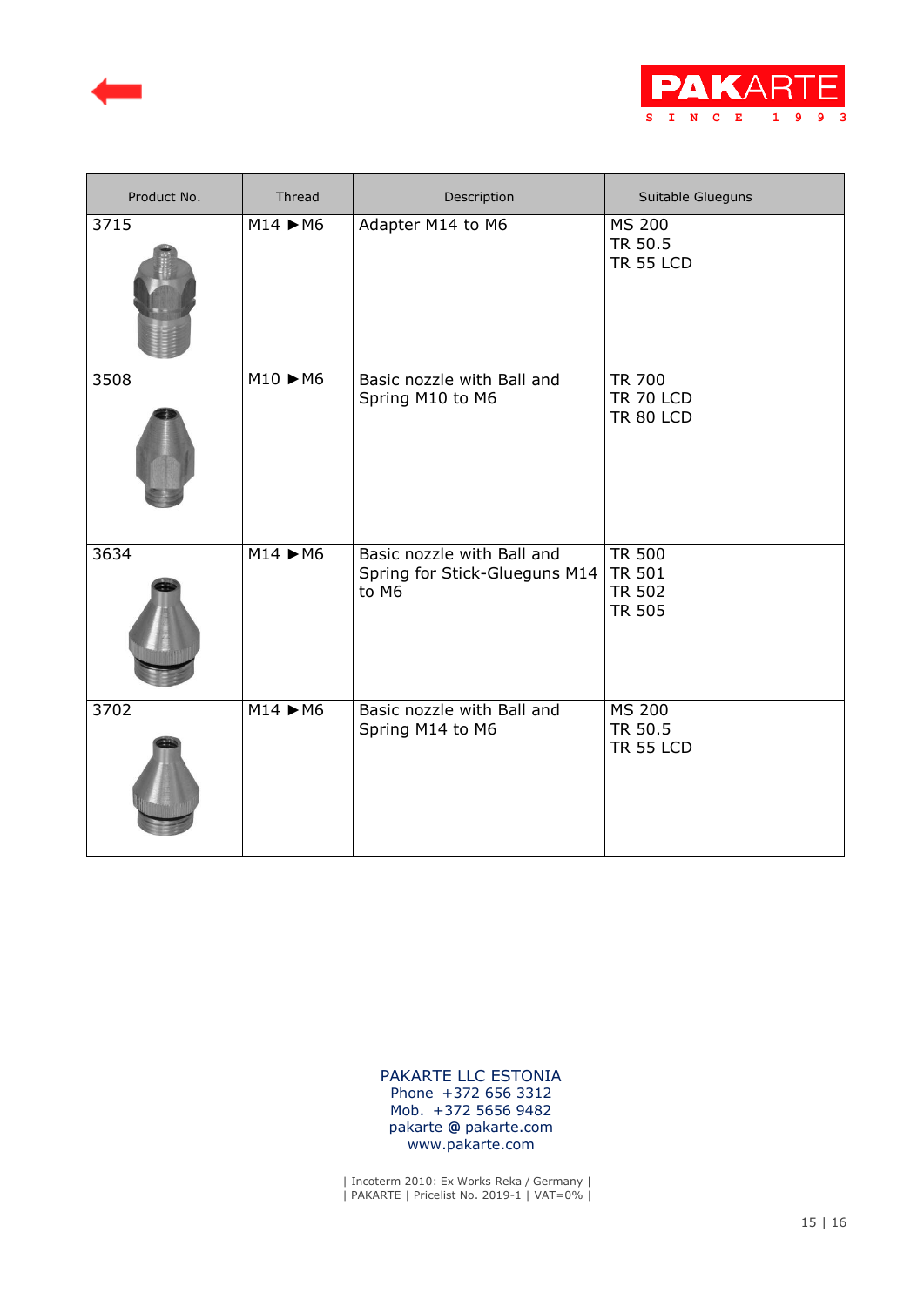



| Product No. | Thread               | Description                                                          | Suitable Glueguns                                                |
|-------------|----------------------|----------------------------------------------------------------------|------------------------------------------------------------------|
| 3715        | $M14 \rightarrow M6$ | Adapter M14 to M6                                                    | <b>MS 200</b><br>TR 50.5<br><b>TR 55 LCD</b>                     |
| 3508        | $M10 \rightarrow M6$ | Basic nozzle with Ball and<br>Spring M10 to M6                       | <b>TR 700</b><br><b>TR 70 LCD</b><br><b>TR 80 LCD</b>            |
| 3634        | $M14 \rightarrow M6$ | Basic nozzle with Ball and<br>Spring for Stick-Glueguns M14<br>to M6 | <b>TR 500</b><br><b>TR 501</b><br><b>TR 502</b><br><b>TR 505</b> |
| 3702        | $M14 \rightarrow M6$ | Basic nozzle with Ball and<br>Spring M14 to M6                       | <b>MS 200</b><br>TR 50.5<br><b>TR 55 LCD</b>                     |